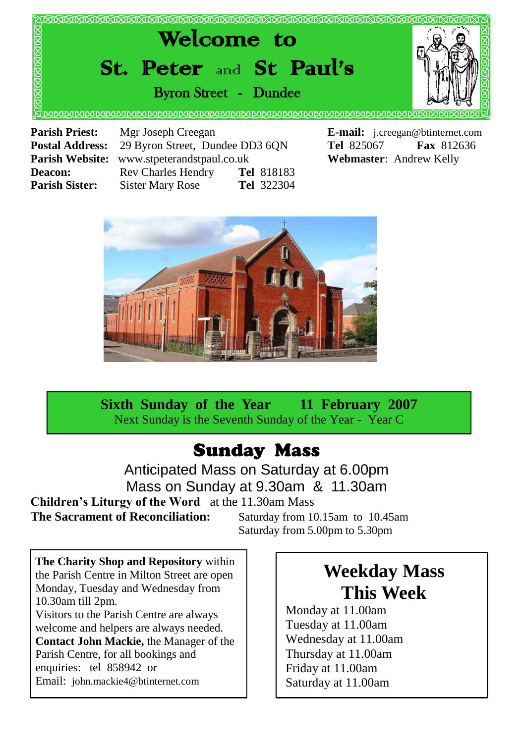

**Postal Address:** 29 Byron Street, Dundee DD3 6QN **Tel** 825067 **Fax** 812636 **Parish Website:** www.stpeterandstpaul.co.uk **Webmaster**: Andrew Kelly **Deacon:** Rev Charles Hendry **Tel** 818183 **Parish Sister:** Sister Mary Rose **Tel** 322304



**Sixth Sunday of the Year 11 February 2007** Next Sunday is the Seventh Sunday of the Year - Year C

### Sunday Mass

Anticipated Mass on Saturday at 6.00pm Mass on Sunday at 9.30am & 11.30am **Children's Liturgy of the Word** at the 11.30am Mass **The Sacrament of Reconciliation:** Saturday from 10.15am to 10.45am

Saturday from 5.00pm to 5.30pm

**The Charity Shop and Repository** within the Parish Centre in Milton Street are open Monday, Tuesday and Wednesday from 10.30am till 2pm. Visitors to the Parish Centre are always welcome and helpers are always needed. **Contact John Mackie,** the Manager of the Parish Centre, for all bookings and enquiries: tel 858942 or Email: john.mackie4@btinternet.com

## **Weekday Mass This Week**

Monday at 11.00am Tuesday at 11.00am Wednesday at 11.00am Thursday at 11.00am Friday at 11.00am Saturday at 11.00am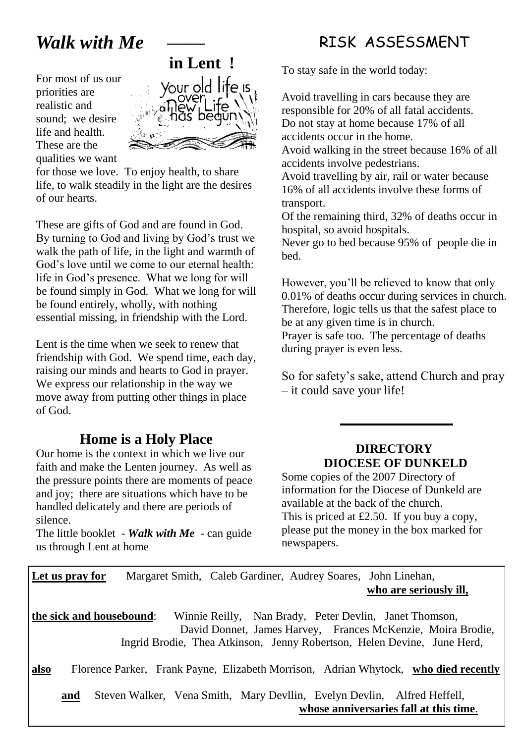# *Walk with Me*

For most of us our priorities are realistic and sound; we desire life and health. These are the qualities we want



for those we love. To enjoy health, to share life, to walk steadily in the light are the desires of our hearts.

These are gifts of God and are found in God. By turning to God and living by God's trust we walk the path of life, in the light and warmth of God's love until we come to our eternal health: life in God's presence. What we long for will be found simply in God. What we long for will be found entirely, wholly, with nothing essential missing, in friendship with the Lord.

Lent is the time when we seek to renew that friendship with God. We spend time, each day, raising our minds and hearts to God in prayer. We express our relationship in the way we move away from putting other things in place of God.

### **Home is a Holy Place**

Our home is the context in which we live our faith and make the Lenten journey. As well as the pressure points there are moments of peace and joy; there are situations which have to be handled delicately and there are periods of silence.

The little booklet - *Walk with Me* - can guide us through Lent at home

### RISK ASSESSMENT

To stay safe in the world today:

Avoid travelling in cars because they are responsible for 20% of all fatal accidents. Do not stay at home because 17% of all accidents occur in the home.

Avoid walking in the street because 16% of all accidents involve pedestrians.

Avoid travelling by air, rail or water because 16% of all accidents involve these forms of transport.

Of the remaining third, 32% of deaths occur in hospital, so avoid hospitals.

Never go to bed because 95% of people die in bed.

However, you'll be relieved to know that only 0.01% of deaths occur during services in church. Therefore, logic tells us that the safest place to be at any given time is in church. Prayer is safe too. The percentage of deaths during prayer is even less.

So for safety's sake, attend Church and pray – it could save your life!

#### **DIRECTORY DIOCESE OF DUNKELD**

Some copies of the 2007 Directory of information for the Diocese of Dunkeld are available at the back of the church. This is priced at £2.50. If you buy a copy, please put the money in the box marked for newspapers.

**Let us pray for** Margaret Smith, Caleb Gardiner, Audrey Soares, John Linehan, **who are seriously ill,**

**the sick and housebound**: Winnie Reilly, Nan Brady, Peter Devlin, Janet Thomson, David Donnet, James Harvey, Frances McKenzie, Moira Brodie, Ingrid Brodie, Thea Atkinson, Jenny Robertson, Helen Devine, June Herd,

**also** Florence Parker, Frank Payne, Elizabeth Morrison, Adrian Whytock, **who died recently** 

**and** Steven Walker, Vena Smith, Mary Devllin, Evelyn Devlin, Alfred Heffell, **whose anniversaries fall at this time**.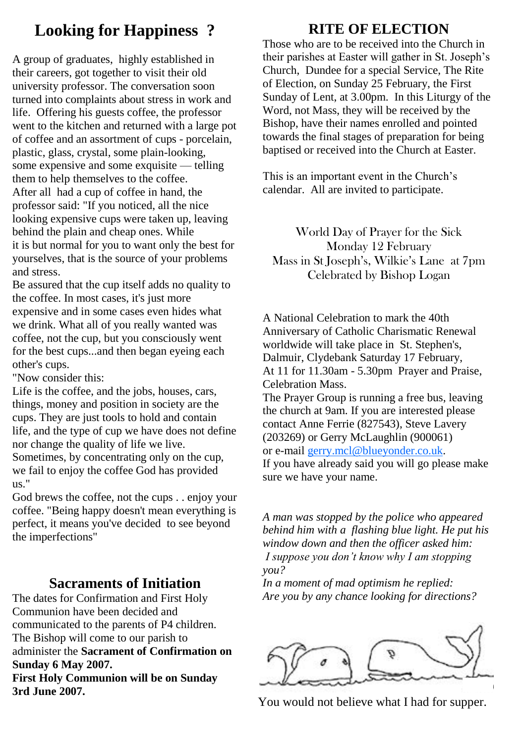### **Looking for Happiness ?**

A group of graduates, highly established in their careers, got together to visit their old university professor. The conversation soon turned into complaints about stress in work and life. Offering his guests coffee, the professor went to the kitchen and returned with a large pot of coffee and an assortment of cups - porcelain, plastic, glass, crystal, some plain-looking, some expensive and some exquisite — telling them to help themselves to the coffee. After all had a cup of coffee in hand, the professor said: "If you noticed, all the nice looking expensive cups were taken up, leaving behind the plain and cheap ones. While it is but normal for you to want only the best for yourselves, that is the source of your problems and stress.

Be assured that the cup itself adds no quality to the coffee. In most cases, it's just more expensive and in some cases even hides what we drink. What all of you really wanted was coffee, not the cup, but you consciously went for the best cups...and then began eyeing each other's cups.

"Now consider this:

Life is the coffee, and the jobs, houses, cars, things, money and position in society are the cups. They are just tools to hold and contain life, and the type of cup we have does not define nor change the quality of life we live. Sometimes, by concentrating only on the cup, we fail to enjoy the coffee God has provided us."

God brews the coffee, not the cups . . enjoy your coffee. "Being happy doesn't mean everything is perfect, it means you've decided to see beyond the imperfections"

#### **Sacraments of Initiation**

The dates for Confirmation and First Holy Communion have been decided and communicated to the parents of P4 children. The Bishop will come to our parish to administer the **Sacrament of Confirmation on Sunday 6 May 2007.**

**First Holy Communion will be on Sunday 3rd June 2007.**

### **RITE OF ELECTION**

Those who are to be received into the Church in their parishes at Easter will gather in St. Joseph's Church, Dundee for a special Service, The Rite of Election, on Sunday 25 February, the First Sunday of Lent, at 3.00pm. In this Liturgy of the Word, not Mass, they will be received by the Bishop, have their names enrolled and pointed towards the final stages of preparation for being baptised or received into the Church at Easter.

This is an important event in the Church's calendar. All are invited to participate.

World Day of Prayer for the Sick Monday 12 February Mass in St Joseph's, Wilkie's Lane at 7pm Celebrated by Bishop Logan

A National Celebration to mark the 40th Anniversary of Catholic Charismatic Renewal worldwide will take place in St. Stephen's, Dalmuir, Clydebank Saturday 17 February, At 11 for 11.30am - 5.30pm Prayer and Praise, Celebration Mass. The Prayer Group is running a free bus, leaving the church at 9am. If you are interested please contact Anne Ferrie (827543), Steve Lavery (203269) or Gerry McLaughlin (900061) or e-mail [gerry.mcl@blueyonder.co.uk.](http://uk.f861.mail.yahoo.com/ym/Compose?To=gerry.mcl@blueyonder.co.uk) 

If you have already said you will go please make sure we have your name.

*A man was stopped by the police who appeared behind him with a flashing blue light. He put his window down and then the officer asked him: I suppose you don't know why I am stopping you?*

*In a moment of mad optimism he replied: Are you by any chance looking for directions?*



You would not believe what I had for supper.